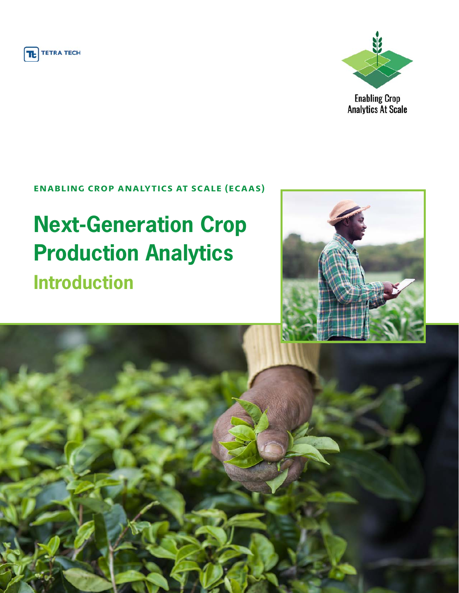



**Enabling Crop Analytics At Scale** 

### **ENABLING CROP ANALYTICS AT SCALE (ECAAS)**

# **Next-Generation Crop Production Analytics Introduction**



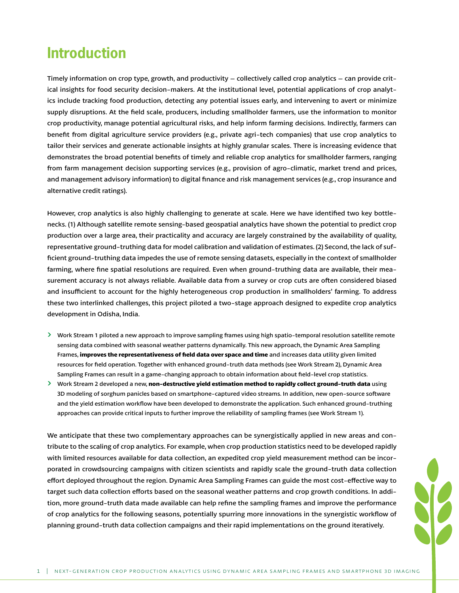### **Introduction**

Timely information on crop type, growth, and productivity – collectively called crop analytics – can provide critical insights for food security decision-makers. At the institutional level, potential applications of crop analytics include tracking food production, detecting any potential issues early, and intervening to avert or minimize supply disruptions. At the field scale, producers, including smallholder farmers, use the information to monitor crop productivity, manage potential agricultural risks, and help inform farming decisions. Indirectly, farmers can benefit from digital agriculture service providers (e.g., private agri-tech companies) that use crop analytics to tailor their services and generate actionable insights at highly granular scales. There is increasing evidence that demonstrates the broad potential benefits of timely and reliable crop analytics for smallholder farmers, ranging from farm management decision supporting services (e.g., provision of agro-climatic, market trend and prices, and management advisory information) to digital finance and risk management services (e.g., crop insurance and alternative credit ratings).

However, crop analytics is also highly challenging to generate at scale. Here we have identified two key bottlenecks. (1) Although satellite remote sensing-based geospatial analytics have shown the potential to predict crop production over a large area, their practicality and accuracy are largely constrained by the availability of quality, representative ground-truthing data for model calibration and validation of estimates. (2) Second, the lack of sufficient ground-truthing data impedes the use of remote sensing datasets, especially in the context of smallholder farming, where fine spatial resolutions are required. Even when ground-truthing data are available, their measurement accuracy is not always reliable. Available data from a survey or crop cuts are often considered biased and insufficient to account for the highly heterogeneous crop production in smallholders' farming. To address these two interlinked challenges, this project piloted a two-stage approach designed to expedite crop analytics development in Odisha, India.

- ΰ Work Stream 1 piloted a new approach to improve sampling frames using high spatio-temporal resolution satellite remote sensing data combined with seasonal weather patterns dynamically. This new approach, the Dynamic Area Sampling Frames, **improves the representativeness of field data over space and time** and increases data utility given limited resources for field operation. Together with enhanced ground-truth data methods (see Work Stream 2), Dynamic Area Sampling Frames can result in a game-changing approach to obtain information about field-level crop statistics.
- ΰ Work Stream 2 developed a new, **non-destructive yield estimation method to rapidly collect ground-truth data** using 3D modeling of sorghum panicles based on smartphone-captured video streams. In addition, new open-source software and the yield estimation workflow have been developed to demonstrate the application. Such enhanced ground-truthing approaches can provide critical inputs to further improve the reliability of sampling frames (see Work Stream 1).

We anticipate that these two complementary approaches can be synergistically applied in new areas and contribute to the scaling of crop analytics. For example, when crop production statistics need to be developed rapidly with limited resources available for data collection, an expedited crop yield measurement method can be incorporated in crowdsourcing campaigns with citizen scientists and rapidly scale the ground-truth data collection effort deployed throughout the region. Dynamic Area Sampling Frames can guide the most cost-effective way to target such data collection efforts based on the seasonal weather patterns and crop growth conditions. In addition, more ground-truth data made available can help refine the sampling frames and improve the performance of crop analytics for the following seasons, potentially spurring more innovations in the synergistic workflow of planning ground-truth data collection campaigns and their rapid implementations on the ground iteratively.